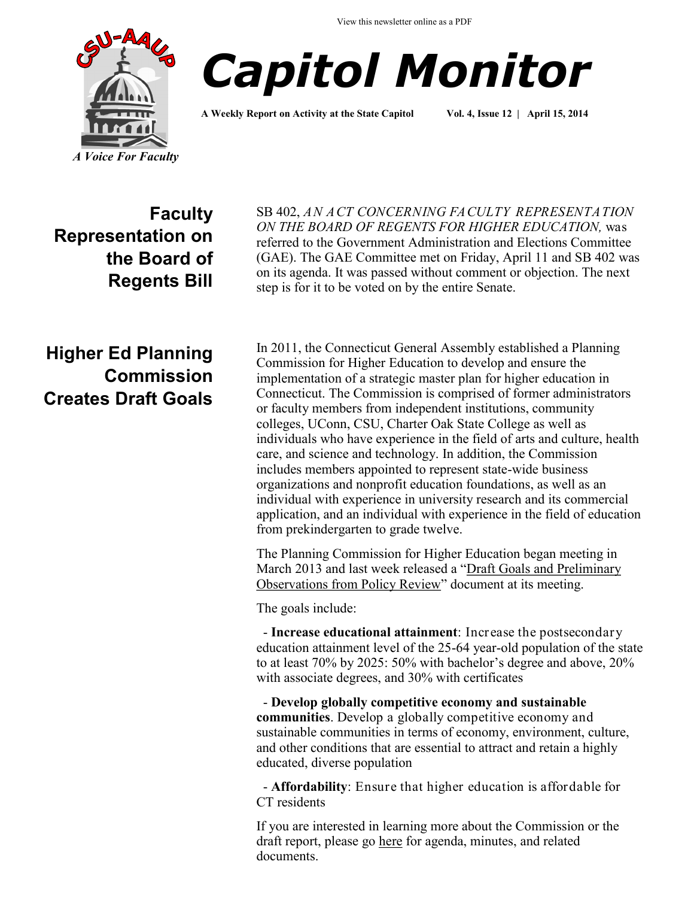



**A Weekly Report on Activity at the State Capitol Vol. 4, Issue 12 | April 15, 2014**

**Faculty Representation on the Board of Regents Bill** SB 402, *AN ACT CONCERNING FACULTY REPRESENTATION ON THE BOARD OF REGENTS FOR HIGHER EDUCATION,* was referred to the Government Administration and Elections Committee (GAE). The GAE Committee met on Friday, April 11 and SB 402 was on its agenda. It was passed without comment or objection. The next step is for it to be voted on by the entire Senate.

# **Higher Ed Planning Commission Creates Draft Goals**

In 2011, the Connecticut General Assembly established a Planning Commission for Higher Education to develop and ensure the implementation of a strategic master plan for higher education in Connecticut. The Commission is comprised of former administrators or faculty members from independent institutions, community colleges, UConn, CSU, Charter Oak State College as well as individuals who have experience in the field of arts and culture, health care, and science and technology. In addition, the Commission includes members appointed to represent state-wide business organizations and nonprofit education foundations, as well as an individual with experience in university research and its commercial application, and an individual with experience in the field of education from prekindergarten to grade twelve.

The Planning Commission for Higher Education began meeting in March 2013 and last week released a "[Draft Goals and Preliminary](http://www.cga.ct.gov/hed/pched/Docs/NCHEMS%20Draft%20Goals%20and%20Preliminary%20Observations%20from%20Policy%20Review%20April%208%202014.pdf)  [Observations from Policy Review"](http://www.cga.ct.gov/hed/pched/Docs/NCHEMS%20Draft%20Goals%20and%20Preliminary%20Observations%20from%20Policy%20Review%20April%208%202014.pdf) document at its meeting.

The goals include:

 - **Increase educational attainment**: Increase the postsecondary education attainment level of the 25-64 year-old population of the state to at least 70% by 2025: 50% with bachelor's degree and above, 20% with associate degrees, and 30% with certificates

 - **Develop globally competitive economy and sustainable communities**. Develop a globally competitive economy and sustainable communities in terms of economy, environment, culture, and other conditions that are essential to attract and retain a highly educated, diverse population

 - **Affordability**: Ensure that higher education is affordable for CT residents

If you are interested in learning more about the Commission or the draft report, please go [here](http://www.cga.ct.gov/hed/pched/pched.asp) for agenda, minutes, and related documents.